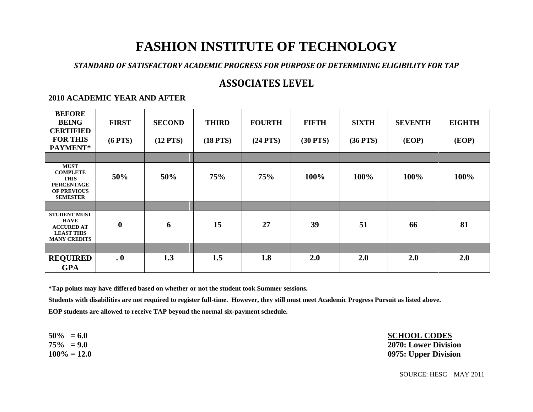# **FASHION INSTITUTE OF TECHNOLOGY**

#### *STANDARD OF SATISFACTORY ACADEMIC PROGRESS FOR PURPOSE OF DETERMINING ELIGIBILITY FOR TAP*

## **ASSOCIATES LEVEL**

#### **2010 ACADEMIC YEAR AND AFTER**

| <b>BEFORE</b><br><b>BEING</b><br><b>CERTIFIED</b><br><b>FOR THIS</b><br>PAYMENT*                            | <b>FIRST</b><br>$(6$ PTS $)$ | <b>SECOND</b><br>$(12$ PTS) | <b>THIRD</b><br>$(18$ PTS $)$ | <b>FOURTH</b><br>$(24$ PTS) | <b>FIFTH</b><br>$(30$ PTS $)$ | <b>SIXTH</b><br>$(36$ PTS $)$ | <b>SEVENTH</b><br>(EOP) | <b>EIGHTH</b><br>(EOP) |
|-------------------------------------------------------------------------------------------------------------|------------------------------|-----------------------------|-------------------------------|-----------------------------|-------------------------------|-------------------------------|-------------------------|------------------------|
|                                                                                                             |                              |                             |                               |                             |                               |                               |                         |                        |
| <b>MUST</b><br><b>COMPLETE</b><br><b>THIS</b><br><b>PERCENTAGE</b><br><b>OF PREVIOUS</b><br><b>SEMESTER</b> | 50%                          | 50%                         | 75%                           | 75%                         | 100%                          | 100%                          | 100%                    | 100%                   |
|                                                                                                             |                              |                             |                               |                             |                               |                               |                         |                        |
| <b>STUDENT MUST</b><br><b>HAVE</b><br><b>ACCURED AT</b><br><b>LEAST THIS</b><br><b>MANY CREDITS</b>         | $\boldsymbol{0}$             | 6                           | 15                            | 27                          | 39                            | 51                            | 66                      | 81                     |
|                                                                                                             |                              |                             |                               |                             |                               |                               |                         |                        |
| <b>REQUIRED</b><br><b>GPA</b>                                                                               | $\cdot$ 0                    | 1.3                         | 1.5                           | 1.8                         | 2.0                           | 2.0                           | 2.0                     | 2.0                    |

**\*Tap points may have differed based on whether or not the student took Summer sessions.**

**Students with disabilities are not required to register full-time. However, they still must meet Academic Progress Pursuit as listed above.**

**EOP students are allowed to receive TAP beyond the normal six-payment schedule.**

**50% = 6.0 SCHOOL CODES 75% = 9.0 2070: Lower Division 100% = 12.0 0975: Upper Division**